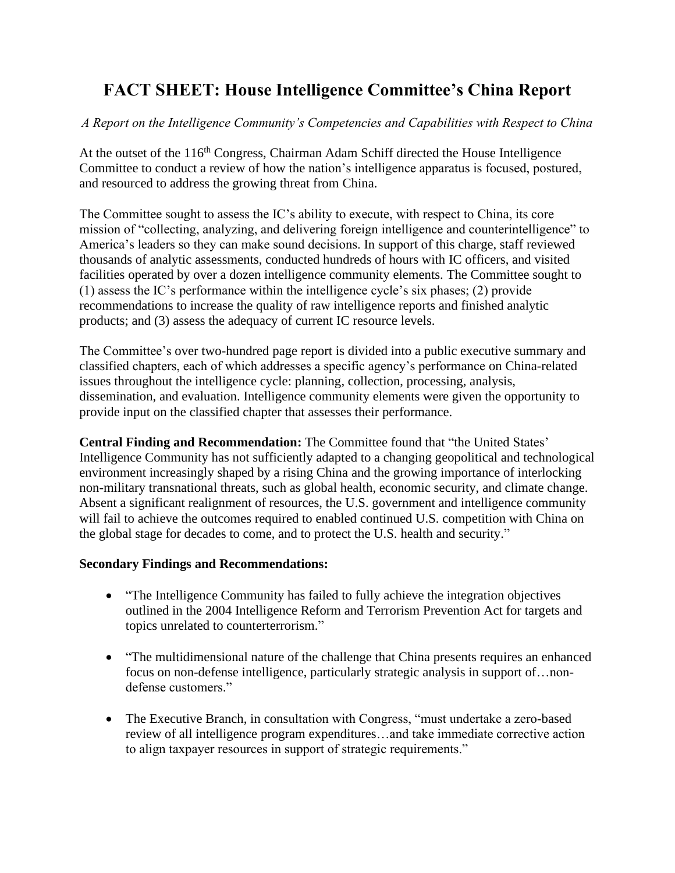# **FACT SHEET: House Intelligence Committee's China Report**

*A Report on the Intelligence Community's Competencies and Capabilities with Respect to China*

At the outset of the 116<sup>th</sup> Congress, Chairman Adam Schiff directed the House Intelligence Committee to conduct a review of how the nation's intelligence apparatus is focused, postured, and resourced to address the growing threat from China.

The Committee sought to assess the IC's ability to execute, with respect to China, its core mission of "collecting, analyzing, and delivering foreign intelligence and counterintelligence" to America's leaders so they can make sound decisions. In support of this charge, staff reviewed thousands of analytic assessments, conducted hundreds of hours with IC officers, and visited facilities operated by over a dozen intelligence community elements. The Committee sought to (1) assess the IC's performance within the intelligence cycle's six phases; (2) provide recommendations to increase the quality of raw intelligence reports and finished analytic products; and (3) assess the adequacy of current IC resource levels.

The Committee's over two-hundred page report is divided into a public executive summary and classified chapters, each of which addresses a specific agency's performance on China-related issues throughout the intelligence cycle: planning, collection, processing, analysis, dissemination, and evaluation. Intelligence community elements were given the opportunity to provide input on the classified chapter that assesses their performance.

**Central Finding and Recommendation:** The Committee found that "the United States' Intelligence Community has not sufficiently adapted to a changing geopolitical and technological environment increasingly shaped by a rising China and the growing importance of interlocking non-military transnational threats, such as global health, economic security, and climate change. Absent a significant realignment of resources, the U.S. government and intelligence community will fail to achieve the outcomes required to enabled continued U.S. competition with China on the global stage for decades to come, and to protect the U.S. health and security."

## **Secondary Findings and Recommendations:**

- "The Intelligence Community has failed to fully achieve the integration objectives outlined in the 2004 Intelligence Reform and Terrorism Prevention Act for targets and topics unrelated to counterterrorism."
- "The multidimensional nature of the challenge that China presents requires an enhanced focus on non-defense intelligence, particularly strategic analysis in support of…nondefense customers."
- The Executive Branch, in consultation with Congress, "must undertake a zero-based review of all intelligence program expenditures…and take immediate corrective action to align taxpayer resources in support of strategic requirements."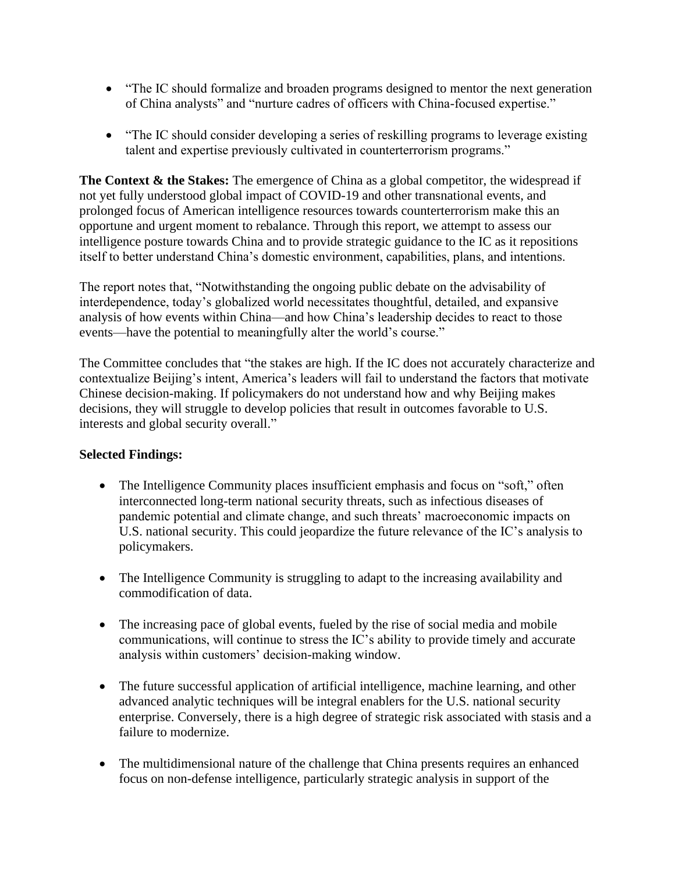- "The IC should formalize and broaden programs designed to mentor the next generation of China analysts" and "nurture cadres of officers with China-focused expertise."
- "The IC should consider developing a series of reskilling programs to leverage existing talent and expertise previously cultivated in counterterrorism programs."

**The Context & the Stakes:** The emergence of China as a global competitor, the widespread if not yet fully understood global impact of COVID-19 and other transnational events, and prolonged focus of American intelligence resources towards counterterrorism make this an opportune and urgent moment to rebalance. Through this report, we attempt to assess our intelligence posture towards China and to provide strategic guidance to the IC as it repositions itself to better understand China's domestic environment, capabilities, plans, and intentions.

The report notes that, "Notwithstanding the ongoing public debate on the advisability of interdependence, today's globalized world necessitates thoughtful, detailed, and expansive analysis of how events within China—and how China's leadership decides to react to those events—have the potential to meaningfully alter the world's course."

The Committee concludes that "the stakes are high. If the IC does not accurately characterize and contextualize Beijing's intent, America's leaders will fail to understand the factors that motivate Chinese decision-making. If policymakers do not understand how and why Beijing makes decisions, they will struggle to develop policies that result in outcomes favorable to U.S. interests and global security overall."

## **Selected Findings:**

- The Intelligence Community places insufficient emphasis and focus on "soft," often interconnected long-term national security threats, such as infectious diseases of pandemic potential and climate change, and such threats' macroeconomic impacts on U.S. national security. This could jeopardize the future relevance of the IC's analysis to policymakers.
- The Intelligence Community is struggling to adapt to the increasing availability and commodification of data.
- The increasing pace of global events, fueled by the rise of social media and mobile communications, will continue to stress the IC's ability to provide timely and accurate analysis within customers' decision-making window.
- The future successful application of artificial intelligence, machine learning, and other advanced analytic techniques will be integral enablers for the U.S. national security enterprise. Conversely, there is a high degree of strategic risk associated with stasis and a failure to modernize.
- The multidimensional nature of the challenge that China presents requires an enhanced focus on non-defense intelligence, particularly strategic analysis in support of the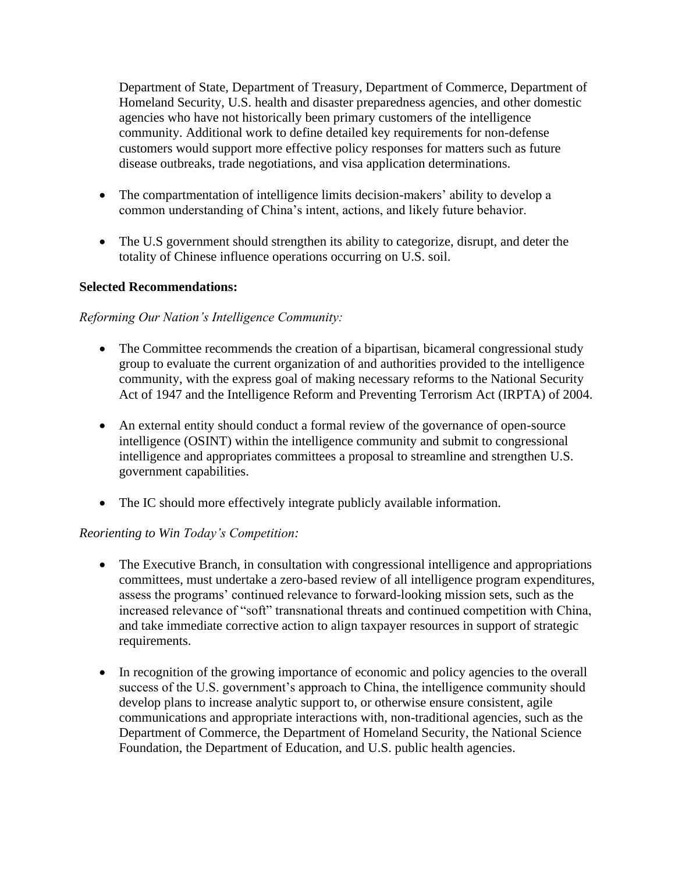Department of State, Department of Treasury, Department of Commerce, Department of Homeland Security, U.S. health and disaster preparedness agencies, and other domestic agencies who have not historically been primary customers of the intelligence community. Additional work to define detailed key requirements for non-defense customers would support more effective policy responses for matters such as future disease outbreaks, trade negotiations, and visa application determinations.

- The compartmentation of intelligence limits decision-makers' ability to develop a common understanding of China's intent, actions, and likely future behavior.
- The U.S government should strengthen its ability to categorize, disrupt, and deter the totality of Chinese influence operations occurring on U.S. soil.

#### **Selected Recommendations:**

#### *Reforming Our Nation's Intelligence Community:*

- The Committee recommends the creation of a bipartisan, bicameral congressional study group to evaluate the current organization of and authorities provided to the intelligence community, with the express goal of making necessary reforms to the National Security Act of 1947 and the Intelligence Reform and Preventing Terrorism Act (IRPTA) of 2004.
- An external entity should conduct a formal review of the governance of open-source intelligence (OSINT) within the intelligence community and submit to congressional intelligence and appropriates committees a proposal to streamline and strengthen U.S. government capabilities.
- The IC should more effectively integrate publicly available information.

## *Reorienting to Win Today's Competition:*

- The Executive Branch, in consultation with congressional intelligence and appropriations committees, must undertake a zero-based review of all intelligence program expenditures, assess the programs' continued relevance to forward-looking mission sets, such as the increased relevance of "soft" transnational threats and continued competition with China, and take immediate corrective action to align taxpayer resources in support of strategic requirements.
- In recognition of the growing importance of economic and policy agencies to the overall success of the U.S. government's approach to China, the intelligence community should develop plans to increase analytic support to, or otherwise ensure consistent, agile communications and appropriate interactions with, non-traditional agencies, such as the Department of Commerce, the Department of Homeland Security, the National Science Foundation, the Department of Education, and U.S. public health agencies.